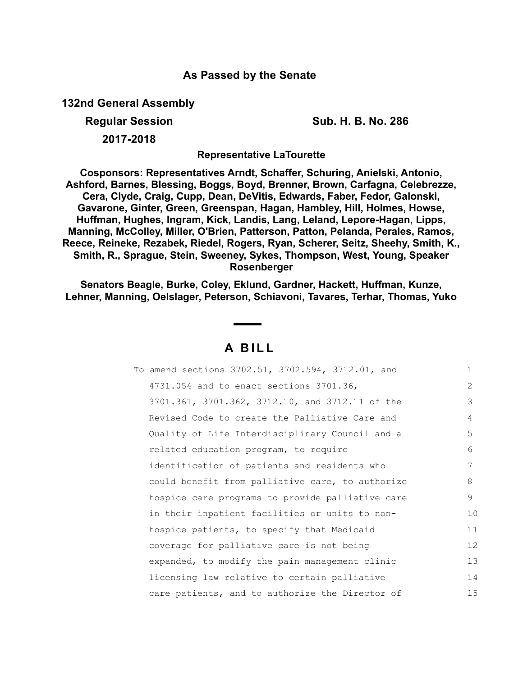## **As Passed by the Senate**

**132nd General Assembly**

**Regular Session Sub. H. B. No. 286**

**2017-2018**

**Representative LaTourette**

**Cosponsors: Representatives Arndt, Schaffer, Schuring, Anielski, Antonio, Ashford, Barnes, Blessing, Boggs, Boyd, Brenner, Brown, Carfagna, Celebrezze, Cera, Clyde, Craig, Cupp, Dean, DeVitis, Edwards, Faber, Fedor, Galonski, Gavarone, Ginter, Green, Greenspan, Hagan, Hambley, Hill, Holmes, Howse, Huffman, Hughes, Ingram, Kick, Landis, Lang, Leland, Lepore-Hagan, Lipps, Manning, McColley, Miller, O'Brien, Patterson, Patton, Pelanda, Perales, Ramos, Reece, Reineke, Rezabek, Riedel, Rogers, Ryan, Scherer, Seitz, Sheehy, Smith, K., Smith, R., Sprague, Stein, Sweeney, Sykes, Thompson, West, Young, Speaker Rosenberger**

**Senators Beagle, Burke, Coley, Eklund, Gardner, Hackett, Huffman, Kunze, Lehner, Manning, Oelslager, Peterson, Schiavoni, Tavares, Terhar, Thomas, Yuko**

## **A B I L L**

| To amend sections 3702.51, 3702.594, 3712.01, and | $\mathbf{1}$ |
|---------------------------------------------------|--------------|
| 4731.054 and to enact sections 3701.36,           | 2            |
| 3701.361, 3701.362, 3712.10, and 3712.11 of the   | 3            |
| Revised Code to create the Palliative Care and    | 4            |
| Quality of Life Interdisciplinary Council and a   | 5            |
| related education program, to require             | 6            |
| identification of patients and residents who      | 7            |
| could benefit from palliative care, to authorize  | 8            |
| hospice care programs to provide palliative care  | 9            |
| in their inpatient facilities or units to non-    | 10           |
| hospice patients, to specify that Medicaid        | 11           |
| coverage for palliative care is not being         | 12           |
| expanded, to modify the pain management clinic    | 13           |
| licensing law relative to certain palliative      | 14           |
| care patients, and to authorize the Director of   | 15           |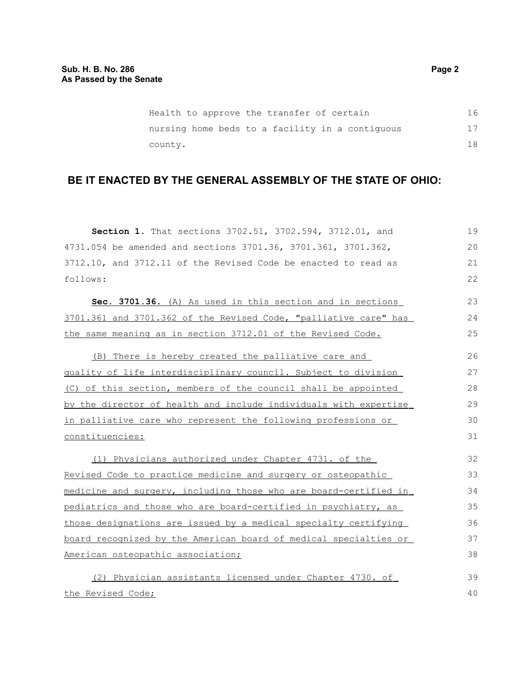| Health to approve the transfer of certain       | 16 |
|-------------------------------------------------|----|
| nursing home beds to a facility in a contiguous | 17 |
| county.                                         | 18 |

# **BE IT ENACTED BY THE GENERAL ASSEMBLY OF THE STATE OF OHIO:**

| Section 1. That sections 3702.51, 3702.594, 3712.01, and         | 19 |
|------------------------------------------------------------------|----|
| 4731.054 be amended and sections 3701.36, 3701.361, 3701.362,    | 20 |
| 3712.10, and 3712.11 of the Revised Code be enacted to read as   | 21 |
| follows:                                                         | 22 |
| Sec. 3701.36. (A) As used in this section and in sections        | 23 |
| 3701.361 and 3701.362 of the Revised Code, "palliative care" has | 24 |
| the same meaning as in section 3712.01 of the Revised Code.      | 25 |
| (B) There is hereby created the palliative care and              | 26 |
| quality of life interdisciplinary council. Subject to division   | 27 |
| (C) of this section, members of the council shall be appointed   | 28 |
| by the director of health and include individuals with expertise | 29 |
| in palliative care who represent the following professions or    | 30 |
| constituencies:                                                  | 31 |
| (1) Physicians authorized under Chapter 4731. of the             | 32 |
| Revised Code to practice medicine and surgery or osteopathic     | 33 |
| medicine and surgery, including those who are board-certified in | 34 |
| pediatrics and those who are board-certified in psychiatry, as   | 35 |
| those designations are issued by a medical specialty certifying  | 36 |
| board recognized by the American board of medical specialties or | 37 |
| American osteopathic association;                                | 38 |
| (2) Physician assistants licensed under Chapter 4730. of         | 39 |
| the Revised Code;                                                | 40 |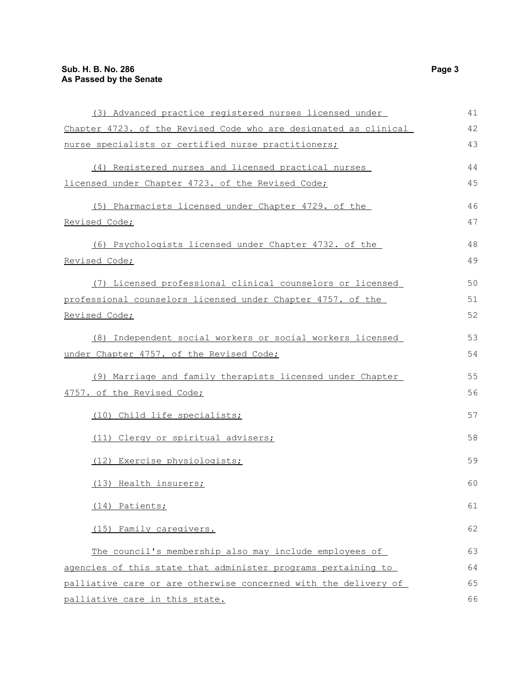| (3) Advanced practice registered nurses licensed under           | 41 |
|------------------------------------------------------------------|----|
| Chapter 4723. of the Revised Code who are designated as clinical | 42 |
| nurse specialists or certified nurse practitioners;              | 43 |
| (4) Registered nurses and licensed practical nurses              | 44 |
| licensed under Chapter 4723. of the Revised Code;                | 45 |
| (5) Pharmacists licensed under Chapter 4729. of the              | 46 |
| Revised Code;                                                    | 47 |
| (6) Psychologists licensed under Chapter 4732. of the            | 48 |
| Revised Code;                                                    | 49 |
| (7) Licensed professional clinical counselors or licensed        | 50 |
| professional counselors licensed under Chapter 4757. of the      | 51 |
| Revised Code;                                                    | 52 |
| (8) Independent social workers or social workers licensed        | 53 |
| under Chapter 4757. of the Revised Code;                         | 54 |
| (9) Marriage and family therapists licensed under Chapter        | 55 |
| 4757. of the Revised Code;                                       | 56 |
| (10) Child life specialists;                                     | 57 |
| (11) Clergy or spiritual advisers;                               | 58 |
| (12) Exercise physiologists;                                     | 59 |
| (13) Health insurers;                                            | 60 |
| (14) Patients;                                                   | 61 |
| (15) Family caregivers.                                          | 62 |
| The council's membership also may include employees of           | 63 |
| agencies of this state that administer programs pertaining to    | 64 |
| palliative care or are otherwise concerned with the delivery of  | 65 |
| palliative care in this state.                                   | 66 |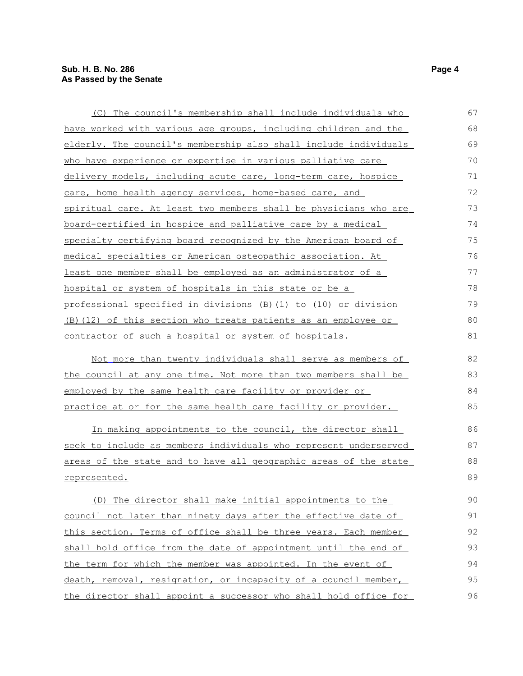| (C) The council's membership shall include individuals who          | 67 |
|---------------------------------------------------------------------|----|
| have worked with various age groups, including children and the     | 68 |
| elderly. The council's membership also shall include individuals    | 69 |
| who have experience or expertise in various palliative care         | 70 |
| delivery models, including acute care, long-term care, hospice      | 71 |
| care, home health agency services, home-based care, and             | 72 |
| spiritual care. At least two members shall be physicians who are    | 73 |
| board-certified in hospice and palliative care by a medical         | 74 |
| specialty certifying board recognized by the American board of      | 75 |
| <u>medical specialties or American osteopathic association. At </u> | 76 |
| least one member shall be employed as an administrator of a         | 77 |
| hospital or system of hospitals in this state or be a               | 78 |
| professional specified in divisions (B)(1) to (10) or division      | 79 |
| (B) (12) of this section who treats patients as an employee or      | 80 |
| contractor of such a hospital or system of hospitals.               | 81 |
| Not more than twenty individuals shall serve as members of          | 82 |
| the council at any one time. Not more than two members shall be     | 83 |
| employed by the same health care facility or provider or            | 84 |
| practice at or for the same health care facility or provider.       | 85 |
| In making appointments to the council, the director shall           | 86 |
| seek to include as members individuals who represent underserved    | 87 |
| areas of the state and to have all geographic areas of the state    | 88 |
| represented.                                                        | 89 |
| (D) The director shall make initial appointments to the             | 90 |
| council not later than ninety days after the effective date of      | 91 |
| this section. Terms of office shall be three years. Each member     | 92 |
| shall hold office from the date of appointment until the end of     | 93 |
| the term for which the member was appointed. In the event of        | 94 |
| death, removal, resignation, or incapacity of a council member,     | 95 |
| the director shall appoint a successor who shall hold office for    | 96 |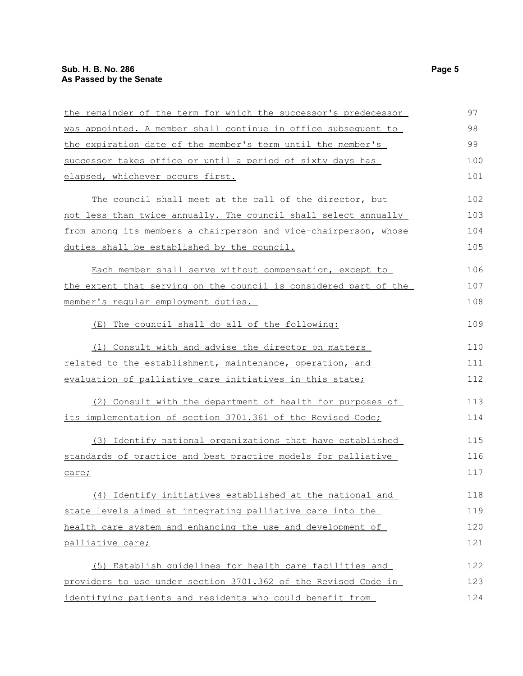| the remainder of the term for which the successor's predecessor  | 97  |
|------------------------------------------------------------------|-----|
| was appointed. A member shall continue in office subsequent to   | 98  |
| the expiration date of the member's term until the member's      | 99  |
| successor takes office or until a period of sixty days has       | 100 |
| elapsed, whichever occurs first.                                 | 101 |
| The council shall meet at the call of the director, but          | 102 |
| not less than twice annually. The council shall select annually  | 103 |
| from among its members a chairperson and vice-chairperson, whose | 104 |
| duties shall be established by the council.                      | 105 |
| Each member shall serve without compensation, except to          | 106 |
| the extent that serving on the council is considered part of the | 107 |
| member's regular employment duties.                              | 108 |
| The council shall do all of the following:<br>(E)                | 109 |
| (1) Consult with and advise the director on matters              | 110 |
| related to the establishment, maintenance, operation, and        | 111 |
| evaluation of palliative care initiatives in this state;         | 112 |
| (2) Consult with the department of health for purposes of        | 113 |
| its implementation of section 3701.361 of the Revised Code;      | 114 |
| (3) Identify national organizations that have established        | 115 |
| standards of practice and best practice models for palliative    | 116 |
| <u>care;</u>                                                     | 117 |
| (4) Identify initiatives established at the national and         | 118 |
| state levels aimed at integrating palliative care into the       | 119 |
| health care system and enhancing the use and development of      | 120 |
| palliative care;                                                 | 121 |
| (5) Establish guidelines for health care facilities and          | 122 |
| providers to use under section 3701.362 of the Revised Code in   | 123 |
| identifying patients and residents who could benefit from        | 124 |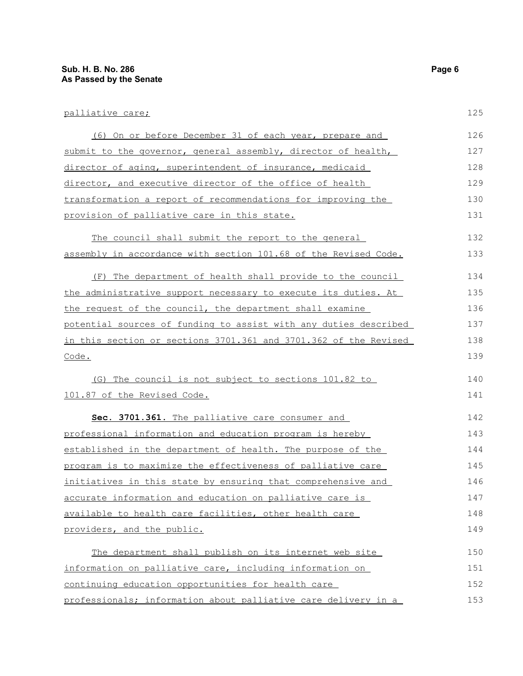| palliative care;                                              |
|---------------------------------------------------------------|
|                                                               |
| (6) On or before December 31 of each year, prepare and        |
| submit to the governor, general assembly, director of health, |
| director of aging, superintendent of insurance, medicaid      |
|                                                               |

director, and executive director of the office of health transformation a report of recommendations for improving the provision of palliative care in this state. The council shall submit the report to the general assembly in accordance with section 101.68 of the Revised Code. (F) The department of health shall provide to the council the administrative support necessary to execute its duties. At the request of the council, the department shall examine potential sources of funding to assist with any duties described in this section or sections 3701.361 and 3701.362 of the Revised Code. 129 130 131 132 133 134 135 136 137 138 139

(G) The council is not subject to sections 101.82 to 101.87 of the Revised Code.

 **Sec. 3701.361.** The palliative care consumer and professional information and education program is hereby established in the department of health. The purpose of the program is to maximize the effectiveness of palliative care initiatives in this state by ensuring that comprehensive and accurate information and education on palliative care is available to health care facilities, other health care providers, and the public. 142 143 144 145 146 147 148 149

 The department shall publish on its internet web site information on palliative care, including information on continuing education opportunities for health care professionals; information about palliative care delivery in a 150 151 152 153

125

126 127 128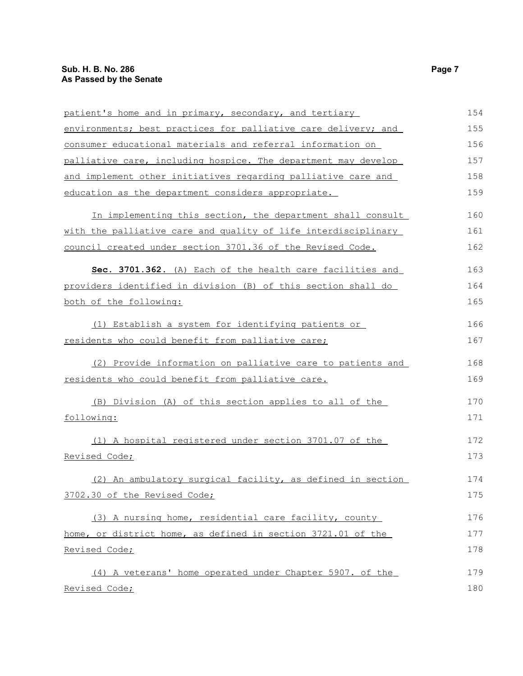| patient's home and in primary, secondary, and tertiary         | 154 |
|----------------------------------------------------------------|-----|
| environments; best practices for palliative care delivery; and | 155 |
| consumer educational materials and referral information on     | 156 |
| palliative care, including hospice. The department may develop | 157 |
| and implement other initiatives regarding palliative care and  | 158 |
| education as the department considers appropriate.             | 159 |
| In implementing this section, the department shall consult     | 160 |
| with the palliative care and quality of life interdisciplinary | 161 |
| council created under section 3701.36 of the Revised Code.     | 162 |
| Sec. 3701.362. (A) Each of the health care facilities and      | 163 |
| providers identified in division (B) of this section shall do  | 164 |
| both of the following:                                         | 165 |
| (1) Establish a system for identifying patients or             | 166 |
| residents who could benefit from palliative care;              | 167 |
| (2) Provide information on palliative care to patients and     | 168 |
| residents who could benefit from palliative care.              | 169 |
| (B) Division (A) of this section applies to all of the         | 170 |
| following:                                                     | 171 |
| (1) A hospital registered under section 3701.07 of the         | 172 |
| Revised Code;                                                  | 173 |
| (2) An ambulatory surgical facility, as defined in section     | 174 |
| 3702.30 of the Revised Code;                                   | 175 |
| (3) A nursing home, residential care facility, county          | 176 |
| home, or district home, as defined in section 3721.01 of the   | 177 |
| Revised Code;                                                  | 178 |
| (4) A veterans' home operated under Chapter 5907. of the       | 179 |
| Revised Code;                                                  | 180 |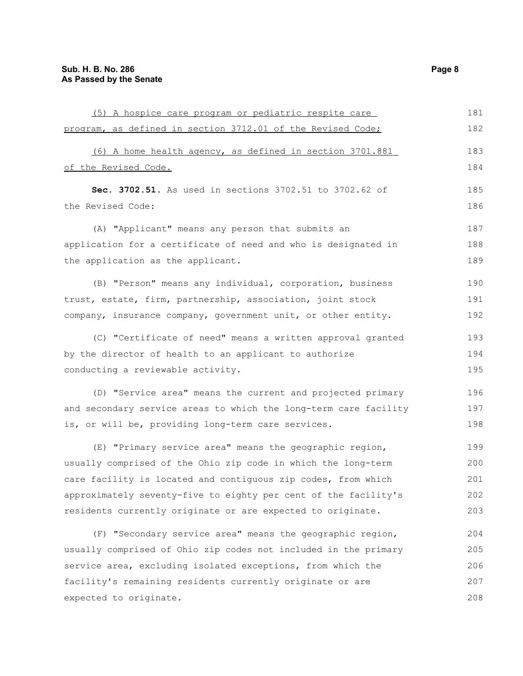| (5) A hospice care program or pediatric respite care             | 181 |
|------------------------------------------------------------------|-----|
| program, as defined in section 3712.01 of the Revised Code;      | 182 |
| (6) A home health agency, as defined in section 3701.881         | 183 |
| of the Revised Code.                                             | 184 |
| Sec. 3702.51. As used in sections 3702.51 to 3702.62 of          | 185 |
| the Revised Code:                                                | 186 |
| (A) "Applicant" means any person that submits an                 | 187 |
| application for a certificate of need and who is designated in   | 188 |
| the application as the applicant.                                | 189 |
| (B) "Person" means any individual, corporation, business         | 190 |
| trust, estate, firm, partnership, association, joint stock       | 191 |
| company, insurance company, government unit, or other entity.    | 192 |
| (C) "Certificate of need" means a written approval granted       | 193 |
| by the director of health to an applicant to authorize           | 194 |
| conducting a reviewable activity.                                | 195 |
| (D) "Service area" means the current and projected primary       | 196 |
| and secondary service areas to which the long-term care facility | 197 |
| is, or will be, providing long-term care services.               | 198 |
| (E) "Primary service area" means the geographic region,          | 199 |
| usually comprised of the Ohio zip code in which the long-term    | 200 |
| care facility is located and contiguous zip codes, from which    | 201 |
| approximately seventy-five to eighty per cent of the facility's  | 202 |
| residents currently originate or are expected to originate.      | 203 |
| (F) "Secondary service area" means the geographic region,        | 204 |
| usually comprised of Ohio zip codes not included in the primary  | 205 |
| service area, excluding isolated exceptions, from which the      | 206 |
| facility's remaining residents currently originate or are        | 207 |
| expected to originate.                                           | 208 |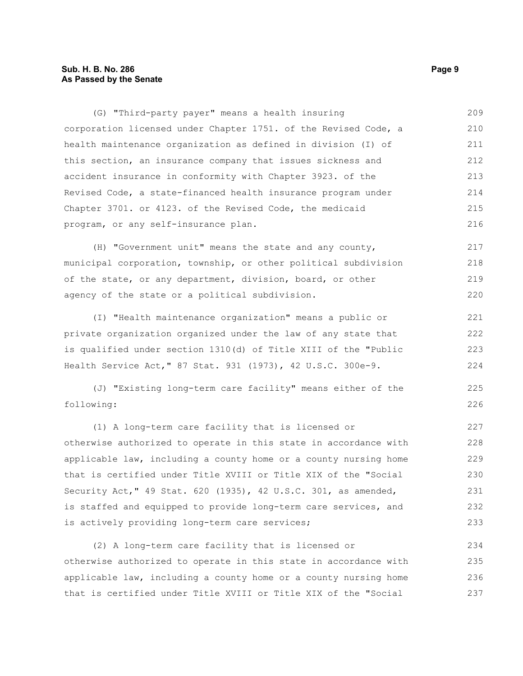#### **Sub. H. B. No. 286 Page 9 As Passed by the Senate**

(G) "Third-party payer" means a health insuring corporation licensed under Chapter 1751. of the Revised Code, a health maintenance organization as defined in division (I) of this section, an insurance company that issues sickness and accident insurance in conformity with Chapter 3923. of the Revised Code, a state-financed health insurance program under Chapter 3701. or 4123. of the Revised Code, the medicaid program, or any self-insurance plan. 209 210 211 212 213 214 215 216

(H) "Government unit" means the state and any county, municipal corporation, township, or other political subdivision of the state, or any department, division, board, or other agency of the state or a political subdivision. 217 218 219 220

(I) "Health maintenance organization" means a public or private organization organized under the law of any state that is qualified under section 1310(d) of Title XIII of the "Public Health Service Act," 87 Stat. 931 (1973), 42 U.S.C. 300e-9.

(J) "Existing long-term care facility" means either of the following:

(1) A long-term care facility that is licensed or otherwise authorized to operate in this state in accordance with applicable law, including a county home or a county nursing home that is certified under Title XVIII or Title XIX of the "Social Security Act," 49 Stat. 620 (1935), 42 U.S.C. 301, as amended, is staffed and equipped to provide long-term care services, and is actively providing long-term care services; 227 228 229 230 231 232 233

(2) A long-term care facility that is licensed or otherwise authorized to operate in this state in accordance with applicable law, including a county home or a county nursing home that is certified under Title XVIII or Title XIX of the "Social 234 235 236 237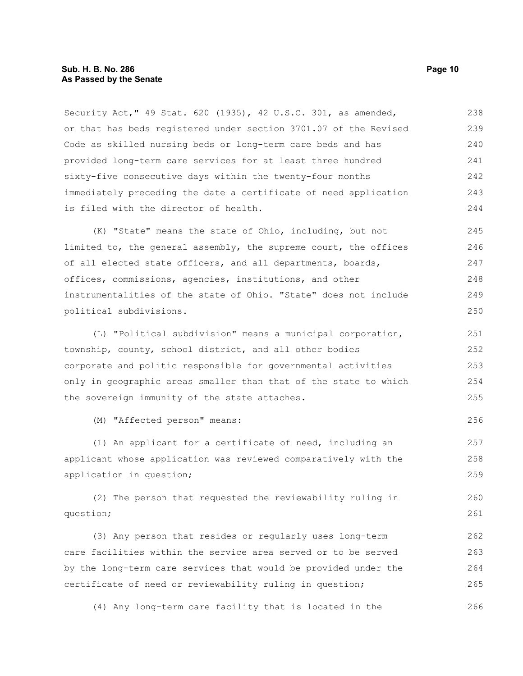#### **Sub. H. B. No. 286 Page 10 As Passed by the Senate**

Security Act," 49 Stat. 620 (1935), 42 U.S.C. 301, as amended, or that has beds registered under section 3701.07 of the Revised Code as skilled nursing beds or long-term care beds and has provided long-term care services for at least three hundred sixty-five consecutive days within the twenty-four months immediately preceding the date a certificate of need application is filed with the director of health. 238 239 240 241 242 243 244

(K) "State" means the state of Ohio, including, but not limited to, the general assembly, the supreme court, the offices of all elected state officers, and all departments, boards, offices, commissions, agencies, institutions, and other instrumentalities of the state of Ohio. "State" does not include political subdivisions. 245 246 247 248 249 250

(L) "Political subdivision" means a municipal corporation, township, county, school district, and all other bodies corporate and politic responsible for governmental activities only in geographic areas smaller than that of the state to which the sovereign immunity of the state attaches. 251 252 253 254 255

(M) "Affected person" means:

(1) An applicant for a certificate of need, including an applicant whose application was reviewed comparatively with the application in question;

(2) The person that requested the reviewability ruling in question; 260 261

(3) Any person that resides or regularly uses long-term care facilities within the service area served or to be served by the long-term care services that would be provided under the certificate of need or reviewability ruling in question; 262 263 264 265

(4) Any long-term care facility that is located in the

256

257 258 259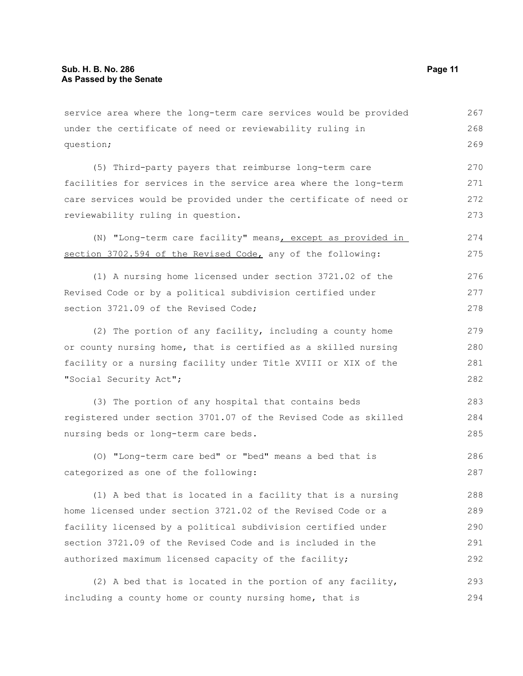service area where the long-term care services would be provided under the certificate of need or reviewability ruling in question; (5) Third-party payers that reimburse long-term care facilities for services in the service area where the long-term care services would be provided under the certificate of need or reviewability ruling in question. (N) "Long-term care facility" means, except as provided in section 3702.594 of the Revised Code, any of the following: (1) A nursing home licensed under section 3721.02 of the Revised Code or by a political subdivision certified under section 3721.09 of the Revised Code; (2) The portion of any facility, including a county home or county nursing home, that is certified as a skilled nursing facility or a nursing facility under Title XVIII or XIX of the "Social Security Act"; (3) The portion of any hospital that contains beds registered under section 3701.07 of the Revised Code as skilled nursing beds or long-term care beds. (O) "Long-term care bed" or "bed" means a bed that is categorized as one of the following: (1) A bed that is located in a facility that is a nursing home licensed under section 3721.02 of the Revised Code or a facility licensed by a political subdivision certified under section 3721.09 of the Revised Code and is included in the 267 268 269 270 271 272 273 274 275 276 277 278 279 280 281 282 283 284 285 286 287 288 289 290

(2) A bed that is located in the portion of any facility, including a county home or county nursing home, that is 293 294

authorized maximum licensed capacity of the facility;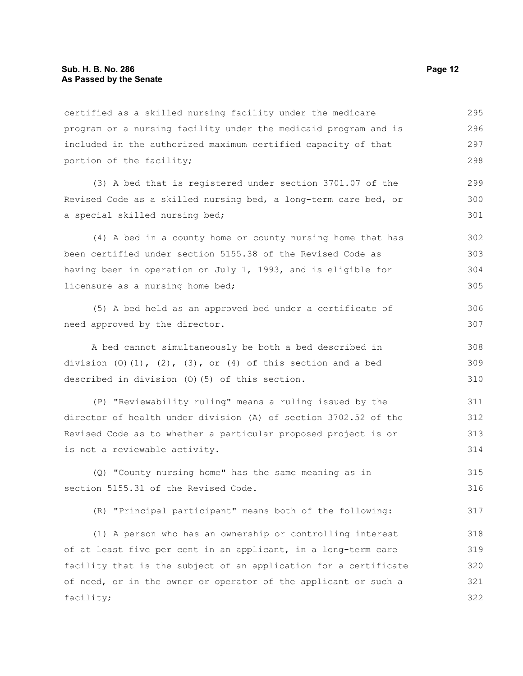certified as a skilled nursing facility under the medicare program or a nursing facility under the medicaid program and is included in the authorized maximum certified capacity of that portion of the facility; 295 296 297 298

(3) A bed that is registered under section 3701.07 of the Revised Code as a skilled nursing bed, a long-term care bed, or a special skilled nursing bed;

(4) A bed in a county home or county nursing home that has been certified under section 5155.38 of the Revised Code as having been in operation on July 1, 1993, and is eligible for licensure as a nursing home bed; 302 303 304 305

(5) A bed held as an approved bed under a certificate of need approved by the director.

A bed cannot simultaneously be both a bed described in division  $(0)(1)$ ,  $(2)$ ,  $(3)$ , or  $(4)$  of this section and a bed described in division (O)(5) of this section. 308 309 310

(P) "Reviewability ruling" means a ruling issued by the director of health under division (A) of section 3702.52 of the Revised Code as to whether a particular proposed project is or is not a reviewable activity. 311 312 313 314

(Q) "County nursing home" has the same meaning as in section 5155.31 of the Revised Code. 315 316

(R) "Principal participant" means both of the following: 317

(1) A person who has an ownership or controlling interest of at least five per cent in an applicant, in a long-term care facility that is the subject of an application for a certificate of need, or in the owner or operator of the applicant or such a facility; 318 319 320 321 322

299 300 301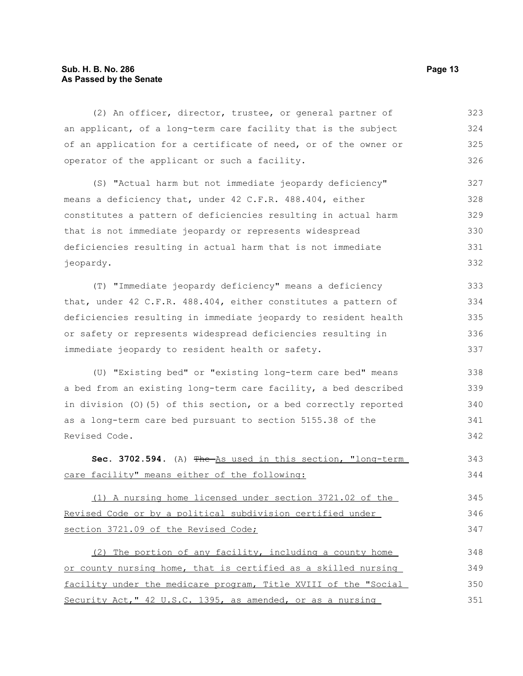#### **Sub. H. B. No. 286 Page 13 As Passed by the Senate**

(2) An officer, director, trustee, or general partner of an applicant, of a long-term care facility that is the subject of an application for a certificate of need, or of the owner or operator of the applicant or such a facility. (S) "Actual harm but not immediate jeopardy deficiency" means a deficiency that, under 42 C.F.R. 488.404, either constitutes a pattern of deficiencies resulting in actual harm that is not immediate jeopardy or represents widespread deficiencies resulting in actual harm that is not immediate jeopardy. (T) "Immediate jeopardy deficiency" means a deficiency 323 324 325 326 327 328 329 330 331 332 333

that, under 42 C.F.R. 488.404, either constitutes a pattern of deficiencies resulting in immediate jeopardy to resident health or safety or represents widespread deficiencies resulting in immediate jeopardy to resident health or safety. 334 335 336 337

(U) "Existing bed" or "existing long-term care bed" means a bed from an existing long-term care facility, a bed described in division (O)(5) of this section, or a bed correctly reported as a long-term care bed pursuant to section 5155.38 of the Revised Code.

**Sec. 3702.594.** (A) The As used in this section, "long-term care facility" means either of the following: 343 344

(1) A nursing home licensed under section 3721.02 of the Revised Code or by a political subdivision certified under section 3721.09 of the Revised Code; 345 346 347

(2) The portion of any facility, including a county home or county nursing home, that is certified as a skilled nursing facility under the medicare program, Title XVIII of the "Social Security Act," 42 U.S.C. 1395, as amended, or as a nursing 348 349 350 351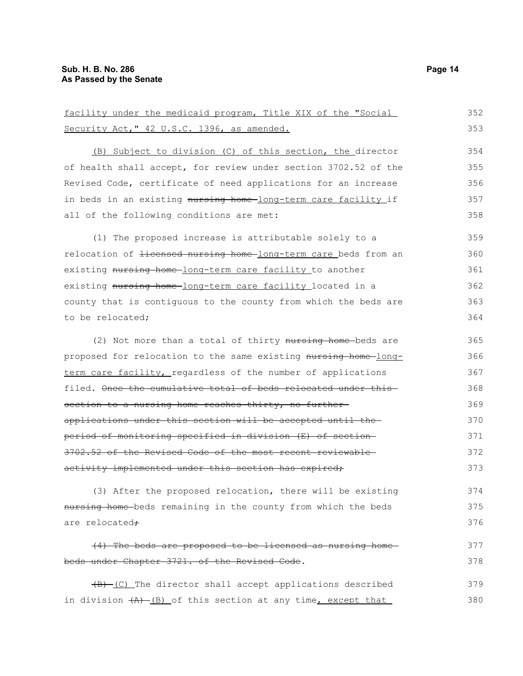| facility under the medicaid program, Title XIX of the "Social              | 352 |
|----------------------------------------------------------------------------|-----|
| Security Act, " 42 U.S.C. 1396, as amended.                                | 353 |
| (B) Subject to division (C) of this section, the director                  | 354 |
| of health shall accept, for review under section 3702.52 of the            | 355 |
| Revised Code, certificate of need applications for an increase             | 356 |
| in beds in an existing nursing home-long-term care facility if             | 357 |
| all of the following conditions are met:                                   | 358 |
| (1) The proposed increase is attributable solely to a                      | 359 |
| relocation of <del>licensed nursing home long-term care</del> beds from an | 360 |
| existing nursing home-long-term care facility to another                   | 361 |
| existing nursing home-long-term care facility located in a                 | 362 |
| county that is contiguous to the county from which the beds are            | 363 |
| to be relocated;                                                           | 364 |
| (2) Not more than a total of thirty nursing home-beds are                  | 365 |
| proposed for relocation to the same existing nursing home long-            | 366 |
| term care facility, regardless of the number of applications               | 367 |
| filed. Once the cumulative total of beds relocated under this              | 368 |
| section to a nursing home reaches thirty, no further-                      | 369 |
| applications under this section will be accepted until the-                | 370 |
| period of monitoring specified in division (E) of section-                 | 371 |
| 3702.52 of the Revised Code of the most recent reviewable-                 | 372 |
| activity implemented under this section has expired,                       | 373 |
| (3) After the proposed relocation, there will be existing                  | 374 |
| nursing home-beds remaining in the county from which the beds              | 375 |
| are relocated <del>;</del>                                                 | 376 |
| (4) The beds are proposed to be licensed as nursing home-                  | 377 |
| beds under Chapter 3721. of the Revised Code.                              | 378 |
| $\frac{1}{2}$ (C) The director shall accept applications described         | 379 |
| in division $\frac{1}{(A)}$ (B) of this section at any time, except that   | 380 |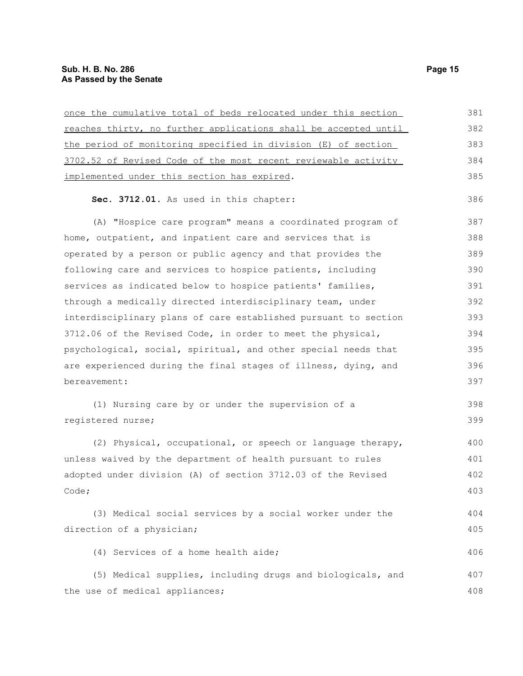| once the cumulative total of beds relocated under this section  | 381 |
|-----------------------------------------------------------------|-----|
| reaches thirty, no further applications shall be accepted until | 382 |
| the period of monitoring specified in division (E) of section   | 383 |
| 3702.52 of Revised Code of the most recent reviewable activity  | 384 |
| implemented under this section has expired.                     | 385 |
| Sec. 3712.01. As used in this chapter:                          | 386 |
| (A) "Hospice care program" means a coordinated program of       | 387 |
| home, outpatient, and inpatient care and services that is       | 388 |
| operated by a person or public agency and that provides the     | 389 |
| following care and services to hospice patients, including      | 390 |
| services as indicated below to hospice patients' families,      | 391 |
| through a medically directed interdisciplinary team, under      | 392 |
| interdisciplinary plans of care established pursuant to section | 393 |
| 3712.06 of the Revised Code, in order to meet the physical,     | 394 |
| psychological, social, spiritual, and other special needs that  | 395 |
| are experienced during the final stages of illness, dying, and  | 396 |
| bereavement:                                                    | 397 |
| (1) Nursing care by or under the supervision of a               | 398 |
| registered nurse;                                               | 399 |
| (2) Physical, occupational, or speech or language therapy,      | 400 |
| unless waived by the department of health pursuant to rules     | 401 |
| adopted under division (A) of section 3712.03 of the Revised    | 402 |
| Code;                                                           | 403 |
| (3) Medical social services by a social worker under the        | 404 |
| direction of a physician;                                       | 405 |
| (4) Services of a home health aide;                             | 406 |
| (5) Medical supplies, including drugs and biologicals, and      | 407 |
| the use of medical appliances;                                  | 408 |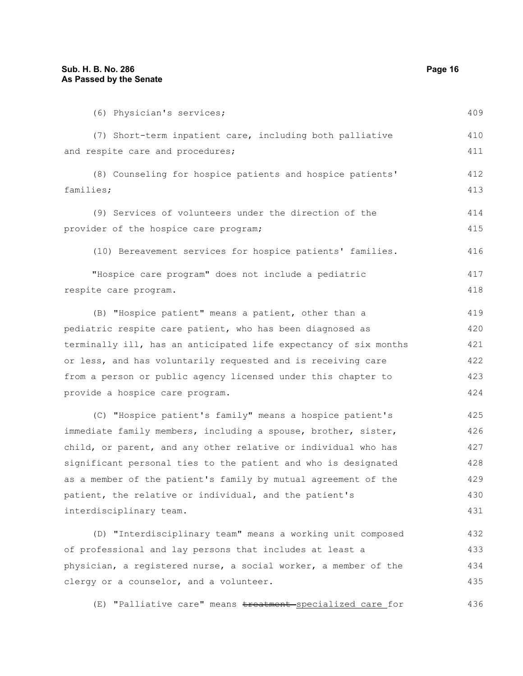| (6) Physician's services;                                        | 409 |
|------------------------------------------------------------------|-----|
| (7) Short-term inpatient care, including both palliative         | 410 |
| and respite care and procedures;                                 | 411 |
| (8) Counseling for hospice patients and hospice patients'        | 412 |
| families;                                                        | 413 |
| (9) Services of volunteers under the direction of the            | 414 |
| provider of the hospice care program;                            | 415 |
| (10) Bereavement services for hospice patients' families.        | 416 |
| "Hospice care program" does not include a pediatric              | 417 |
| respite care program.                                            | 418 |
| (B) "Hospice patient" means a patient, other than a              | 419 |
| pediatric respite care patient, who has been diagnosed as        | 420 |
| terminally ill, has an anticipated life expectancy of six months | 421 |
| or less, and has voluntarily requested and is receiving care     | 422 |
| from a person or public agency licensed under this chapter to    | 423 |
| provide a hospice care program.                                  | 424 |
| (C) "Hospice patient's family" means a hospice patient's         | 425 |
| immediate family members, including a spouse, brother, sister,   | 426 |
| child, or parent, and any other relative or individual who has   | 427 |
| significant personal ties to the patient and who is designated   | 428 |
| as a member of the patient's family by mutual agreement of the   | 429 |
| patient, the relative or individual, and the patient's           | 430 |
| interdisciplinary team.                                          | 431 |

(D) "Interdisciplinary team" means a working unit composed of professional and lay persons that includes at least a physician, a registered nurse, a social worker, a member of the clergy or a counselor, and a volunteer. 432 433 434 435

(E) "Palliative care" means treatment-specialized care for 436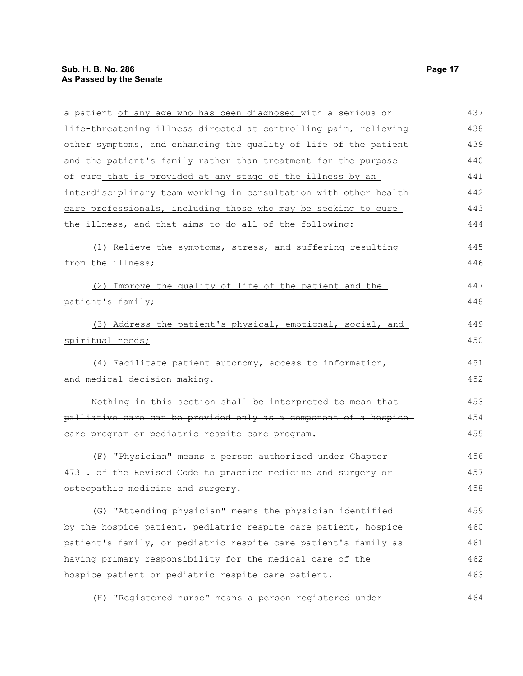| a patient of any age who has been diagnosed with a serious or     | 437 |
|-------------------------------------------------------------------|-----|
| life-threatening illness-directed at controlling pain, relieving- | 438 |
| other symptoms, and enhancing the quality of life of the patient  | 439 |
| and the patient's family rather than treatment for the purpose-   | 440 |
| of cure that is provided at any stage of the illness by an        | 441 |
| interdisciplinary team working in consultation with other health  | 442 |
| care professionals, including those who may be seeking to cure    | 443 |
| the illness, and that aims to do all of the following:            | 444 |
| (1) Relieve the symptoms, stress, and suffering resulting         | 445 |
| from the illness;                                                 | 446 |
| (2) Improve the quality of life of the patient and the            | 447 |
| patient's family;                                                 | 448 |
| (3) Address the patient's physical, emotional, social, and        | 449 |
| spiritual needs;                                                  | 450 |
| (4) Facilitate patient autonomy, access to information,           | 451 |
| and medical decision making.                                      | 452 |
| Nothing in this section shall be interpreted to mean that         | 453 |
| palliative care can be provided only as a component of a hospice- | 454 |
| care program or pediatric respite care program.                   | 455 |
| (F) "Physician" means a person authorized under Chapter           | 456 |
| 4731. of the Revised Code to practice medicine and surgery or     | 457 |
| osteopathic medicine and surgery.                                 | 458 |
| (G) "Attending physician" means the physician identified          | 459 |
| by the hospice patient, pediatric respite care patient, hospice   | 460 |
| patient's family, or pediatric respite care patient's family as   | 461 |
| having primary responsibility for the medical care of the         | 462 |
| hospice patient or pediatric respite care patient.                | 463 |
| "Registered nurse" means a person registered under<br>(H)         | 464 |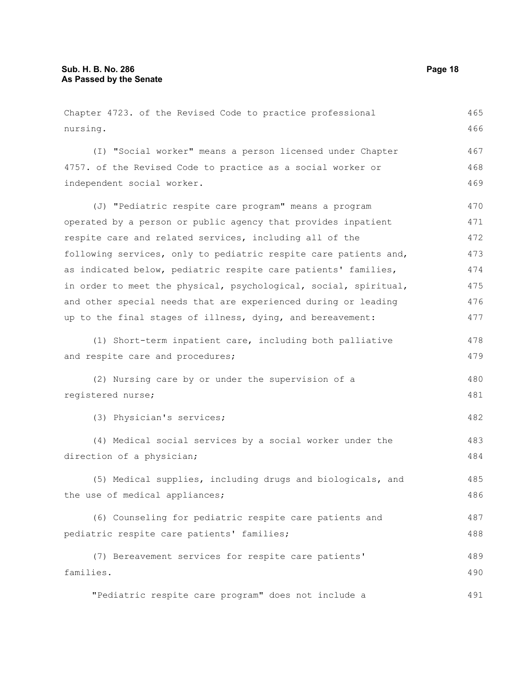Chapter 4723. of the Revised Code to practice professional nursing. (I) "Social worker" means a person licensed under Chapter 4757. of the Revised Code to practice as a social worker or independent social worker. (J) "Pediatric respite care program" means a program operated by a person or public agency that provides inpatient respite care and related services, including all of the following services, only to pediatric respite care patients and, as indicated below, pediatric respite care patients' families, in order to meet the physical, psychological, social, spiritual, and other special needs that are experienced during or leading up to the final stages of illness, dying, and bereavement: (1) Short-term inpatient care, including both palliative and respite care and procedures; (2) Nursing care by or under the supervision of a registered nurse; (3) Physician's services; (4) Medical social services by a social worker under the direction of a physician; (5) Medical supplies, including drugs and biologicals, and the use of medical appliances; (6) Counseling for pediatric respite care patients and pediatric respite care patients' families; (7) Bereavement services for respite care patients' families. "Pediatric respite care program" does not include a 465 466 467 468 469 470 471 472 473 474 475 476 477 478 479 480 481 482 483 484 485 486 487 488 489 490 491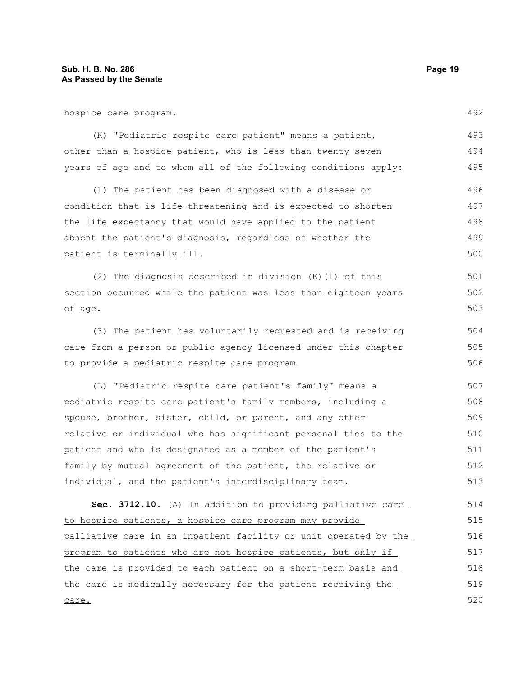hospice care program.

(K) "Pediatric respite care patient" means a patient, other than a hospice patient, who is less than twenty-seven years of age and to whom all of the following conditions apply: 493 494 495

(1) The patient has been diagnosed with a disease or condition that is life-threatening and is expected to shorten the life expectancy that would have applied to the patient absent the patient's diagnosis, regardless of whether the patient is terminally ill. 496 497 498 499 500

(2) The diagnosis described in division (K)(1) of this section occurred while the patient was less than eighteen years of age. 501 502 503

(3) The patient has voluntarily requested and is receiving care from a person or public agency licensed under this chapter to provide a pediatric respite care program.

(L) "Pediatric respite care patient's family" means a pediatric respite care patient's family members, including a spouse, brother, sister, child, or parent, and any other relative or individual who has significant personal ties to the patient and who is designated as a member of the patient's family by mutual agreement of the patient, the relative or individual, and the patient's interdisciplinary team. 507 508 509 510 511 512 513

 **Sec. 3712.10.** (A) In addition to providing palliative care to hospice patients, a hospice care program may provide palliative care in an inpatient facility or unit operated by the program to patients who are not hospice patients, but only if the care is provided to each patient on a short-term basis and the care is medically necessary for the patient receiving the care. 514 515 516 517 518 519 520

492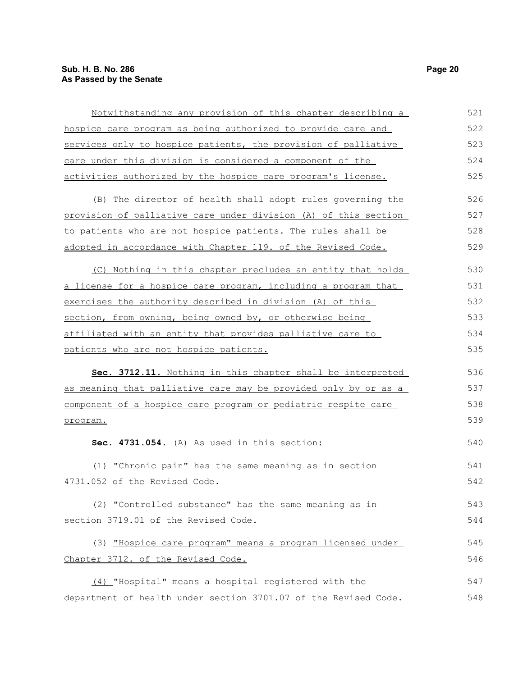| Notwithstanding any provision of this chapter describing a      | 521 |
|-----------------------------------------------------------------|-----|
| hospice care program as being authorized to provide care and    | 522 |
| services only to hospice patients, the provision of palliative  | 523 |
| care under this division is considered a component of the       | 524 |
| activities authorized by the hospice care program's license.    | 525 |
| (B) The director of health shall adopt rules governing the      | 526 |
| provision of palliative care under division (A) of this section | 527 |
| to patients who are not hospice patients. The rules shall be    | 528 |
| adopted in accordance with Chapter 119. of the Revised Code.    | 529 |
| (C) Nothing in this chapter precludes an entity that holds      | 530 |
| a license for a hospice care program, including a program that  | 531 |
| exercises the authority described in division (A) of this       | 532 |
| section, from owning, being owned by, or otherwise being        | 533 |
| affiliated with an entity that provides palliative care to      | 534 |
| patients who are not hospice patients.                          | 535 |
| Sec. 3712.11. Nothing in this chapter shall be interpreted      | 536 |
| as meaning that palliative care may be provided only by or as a | 537 |
| component of a hospice care program or pediatric respite care   | 538 |
| program.                                                        | 539 |
| Sec. 4731.054. (A) As used in this section:                     | 540 |
| (1) "Chronic pain" has the same meaning as in section           | 541 |
| 4731.052 of the Revised Code.                                   | 542 |
| (2) "Controlled substance" has the same meaning as in           | 543 |
| section 3719.01 of the Revised Code.                            | 544 |
| (3) "Hospice care program" means a program licensed under       | 545 |
| Chapter 3712. of the Revised Code.                              | 546 |
| (4) "Hospital" means a hospital registered with the             | 547 |
| department of health under section 3701.07 of the Revised Code. | 548 |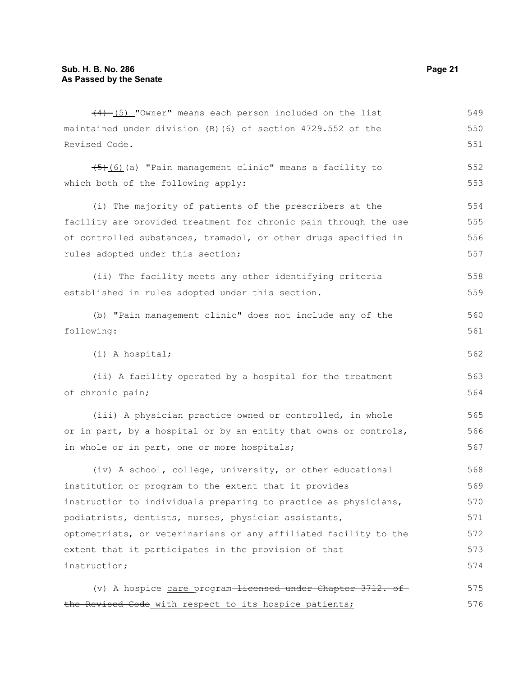$(4)$  (5) "Owner" means each person included on the list maintained under division (B)(6) of section 4729.552 of the Revised Code.  $\overline{(5) (6)}$  (a) "Pain management clinic" means a facility to which both of the following apply: (i) The majority of patients of the prescribers at the facility are provided treatment for chronic pain through the use of controlled substances, tramadol, or other drugs specified in rules adopted under this section; (ii) The facility meets any other identifying criteria established in rules adopted under this section. (b) "Pain management clinic" does not include any of the following: (i) A hospital; (ii) A facility operated by a hospital for the treatment of chronic pain; (iii) A physician practice owned or controlled, in whole or in part, by a hospital or by an entity that owns or controls, in whole or in part, one or more hospitals; (iv) A school, college, university, or other educational institution or program to the extent that it provides instruction to individuals preparing to practice as physicians, podiatrists, dentists, nurses, physician assistants, optometrists, or veterinarians or any affiliated facility to the extent that it participates in the provision of that instruction; (v) A hospice care program-licensed under Chapter 3712. ofthe Revised Code with respect to its hospice patients; 549 550 551 552 553 554 555 556 557 558 559 560 561 562 563 564 565 566 567 568 569 570 571 572 573 574 575 576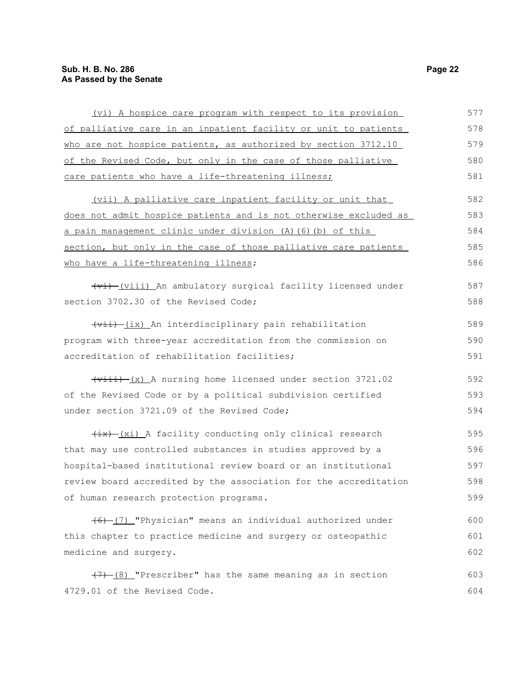### **Sub. H. B. No. 286 Page 22 As Passed by the Senate**

| (vi) A hospice care program with respect to its provision                                | 577 |
|------------------------------------------------------------------------------------------|-----|
| of palliative care in an inpatient facility or unit to patients                          | 578 |
| who are not hospice patients, as authorized by section 3712.10                           | 579 |
| of the Revised Code, but only in the case of those palliative                            | 580 |
| care patients who have a life-threatening illness;                                       | 581 |
| (vii) A palliative care inpatient facility or unit that                                  | 582 |
| does not admit hospice patients and is not otherwise excluded as                         | 583 |
| a pain management clinic under division (A) (6) (b) of this                              | 584 |
| section, but only in the case of those palliative care patients                          | 585 |
| who have a life-threatening illness;                                                     | 586 |
| (vi) (viii) An ambulatory surgical facility licensed under                               | 587 |
| section 3702.30 of the Revised Code;                                                     | 588 |
| (vii) (ix) An interdisciplinary pain rehabilitation                                      | 589 |
| program with three-year accreditation from the commission on                             | 590 |
| accreditation of rehabilitation facilities;                                              | 591 |
| $\overline{(viii) - (x)}$ A nursing home licensed under section 3721.02                  | 592 |
| of the Revised Code or by a political subdivision certified                              | 593 |
| under section 3721.09 of the Revised Code;                                               | 594 |
| $\frac{1}{1}$ $\frac{1}{1}$ $\frac{1}{2}$ and facility conducting only clinical research | 595 |
| that may use controlled substances in studies approved by a                              | 596 |
| hospital-based institutional review board or an institutional                            | 597 |
| review board accredited by the association for the accreditation                         | 598 |
| of human research protection programs.                                                   | 599 |
| (6) (7) "Physician" means an individual authorized under                                 | 600 |
| this chapter to practice medicine and surgery or osteopathic                             | 601 |
| medicine and surgery.                                                                    | 602 |
| $(7)$ $(8)$ "Prescriber" has the same meaning as in section                              | 603 |
| 4729.01 of the Revised Code.                                                             | 604 |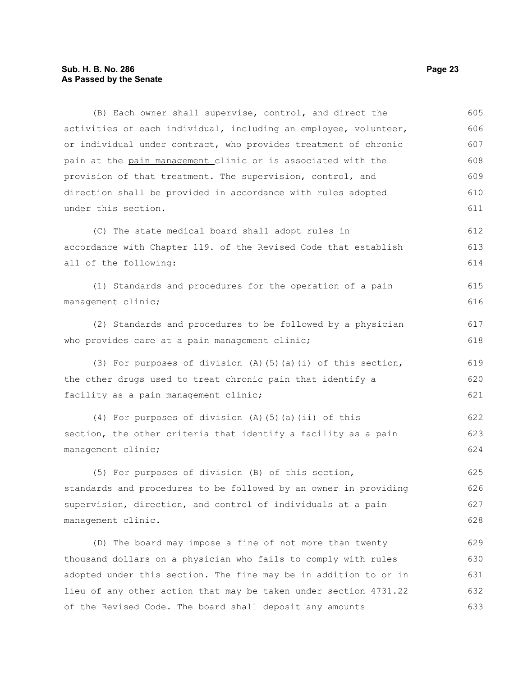#### **Sub. H. B. No. 286 Page 23 As Passed by the Senate**

(B) Each owner shall supervise, control, and direct the activities of each individual, including an employee, volunteer, or individual under contract, who provides treatment of chronic pain at the pain management clinic or is associated with the provision of that treatment. The supervision, control, and direction shall be provided in accordance with rules adopted under this section. (C) The state medical board shall adopt rules in accordance with Chapter 119. of the Revised Code that establish all of the following: (1) Standards and procedures for the operation of a pain management clinic; (2) Standards and procedures to be followed by a physician who provides care at a pain management clinic; (3) For purposes of division  $(A)$  (5)(a)(i) of this section, the other drugs used to treat chronic pain that identify a facility as a pain management clinic; (4) For purposes of division (A)(5)(a)(ii) of this section, the other criteria that identify a facility as a pain management clinic; (5) For purposes of division (B) of this section, standards and procedures to be followed by an owner in providing supervision, direction, and control of individuals at a pain management clinic. (D) The board may impose a fine of not more than twenty thousand dollars on a physician who fails to comply with rules adopted under this section. The fine may be in addition to or in lieu of any other action that may be taken under section 4731.22 of the Revised Code. The board shall deposit any amounts 605 606 607 608 609 610 611 612 613 614 615 616 617 618 619 620 621 622 623 624 625 626 627 628 629 630 631 632 633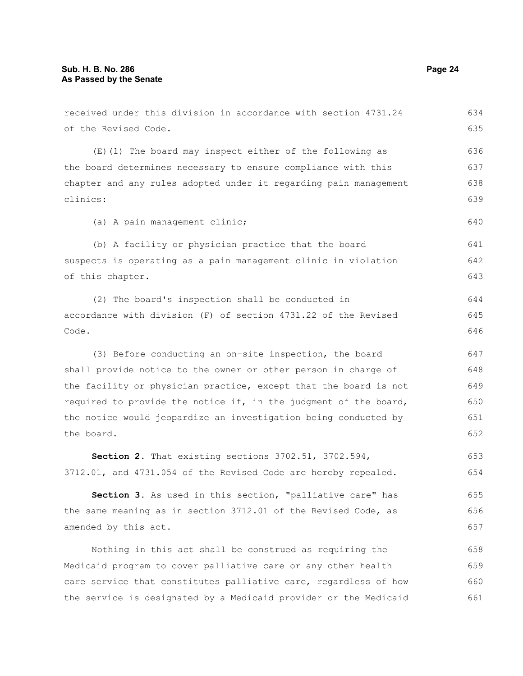of the Revised Code.

clinics:

of this chapter.

received under this division in accordance with section 4731.24 (E)(1) The board may inspect either of the following as the board determines necessary to ensure compliance with this chapter and any rules adopted under it regarding pain management (a) A pain management clinic; (b) A facility or physician practice that the board suspects is operating as a pain management clinic in violation

(2) The board's inspection shall be conducted in accordance with division (F) of section 4731.22 of the Revised Code.

(3) Before conducting an on-site inspection, the board shall provide notice to the owner or other person in charge of the facility or physician practice, except that the board is not required to provide the notice if, in the judgment of the board, the notice would jeopardize an investigation being conducted by the board.

**Section 2.** That existing sections 3702.51, 3702.594, 3712.01, and 4731.054 of the Revised Code are hereby repealed. 653 654

**Section 3.** As used in this section, "palliative care" has the same meaning as in section 3712.01 of the Revised Code, as amended by this act. 655 656 657

Nothing in this act shall be construed as requiring the Medicaid program to cover palliative care or any other health care service that constitutes palliative care, regardless of how the service is designated by a Medicaid provider or the Medicaid 658 659 660 661

634 635

640

641 642 643

644 645 646